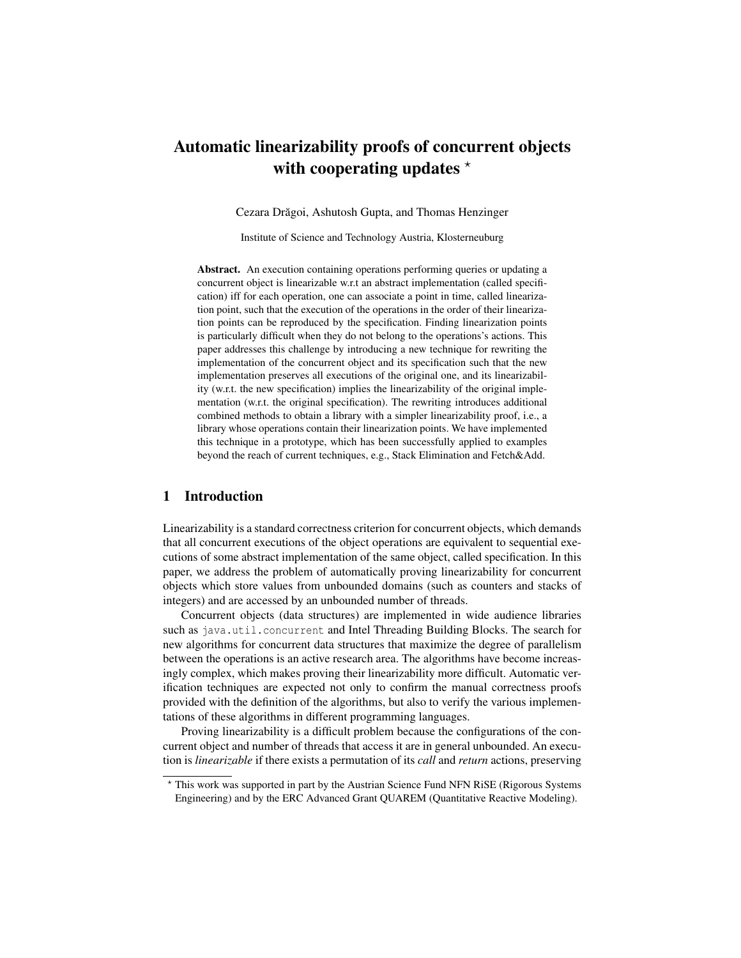# Automatic linearizability proofs of concurrent objects with cooperating updates  $*$

Cezara Drăgoi, Ashutosh Gupta, and Thomas Henzinger

Institute of Science and Technology Austria, Klosterneuburg

Abstract. An execution containing operations performing queries or updating a concurrent object is linearizable w.r.t an abstract implementation (called specification) iff for each operation, one can associate a point in time, called linearization point, such that the execution of the operations in the order of their linearization points can be reproduced by the specification. Finding linearization points is particularly difficult when they do not belong to the operations's actions. This paper addresses this challenge by introducing a new technique for rewriting the implementation of the concurrent object and its specification such that the new implementation preserves all executions of the original one, and its linearizability (w.r.t. the new specification) implies the linearizability of the original implementation (w.r.t. the original specification). The rewriting introduces additional combined methods to obtain a library with a simpler linearizability proof, i.e., a library whose operations contain their linearization points. We have implemented this technique in a prototype, which has been successfully applied to examples beyond the reach of current techniques, e.g., Stack Elimination and Fetch&Add.

# 1 Introduction

Linearizability is a standard correctness criterion for concurrent objects, which demands that all concurrent executions of the object operations are equivalent to sequential executions of some abstract implementation of the same object, called specification. In this paper, we address the problem of automatically proving linearizability for concurrent objects which store values from unbounded domains (such as counters and stacks of integers) and are accessed by an unbounded number of threads.

Concurrent objects (data structures) are implemented in wide audience libraries such as java.util.concurrent and Intel Threading Building Blocks. The search for new algorithms for concurrent data structures that maximize the degree of parallelism between the operations is an active research area. The algorithms have become increasingly complex, which makes proving their linearizability more difficult. Automatic verification techniques are expected not only to confirm the manual correctness proofs provided with the definition of the algorithms, but also to verify the various implementations of these algorithms in different programming languages.

Proving linearizability is a difficult problem because the configurations of the concurrent object and number of threads that access it are in general unbounded. An execution is *linearizable* if there exists a permutation of its *call* and *return* actions, preserving

<sup>?</sup> This work was supported in part by the Austrian Science Fund NFN RiSE (Rigorous Systems Engineering) and by the ERC Advanced Grant QUAREM (Quantitative Reactive Modeling).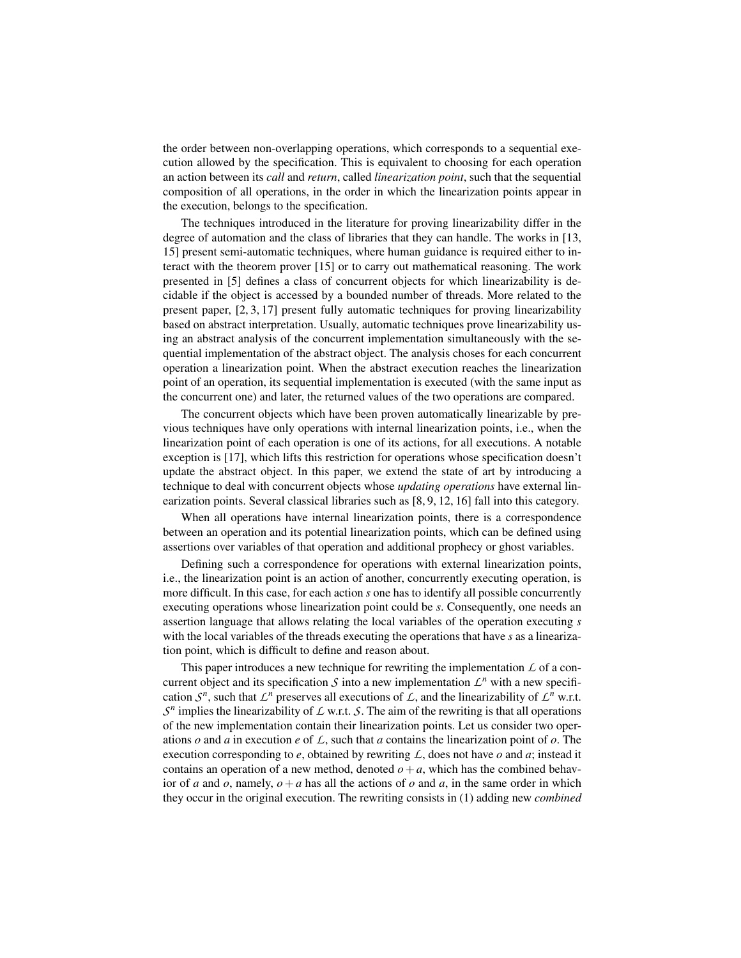the order between non-overlapping operations, which corresponds to a sequential execution allowed by the specification. This is equivalent to choosing for each operation an action between its *call* and *return*, called *linearization point*, such that the sequential composition of all operations, in the order in which the linearization points appear in the execution, belongs to the specification.

The techniques introduced in the literature for proving linearizability differ in the degree of automation and the class of libraries that they can handle. The works in [13, 15] present semi-automatic techniques, where human guidance is required either to interact with the theorem prover [15] or to carry out mathematical reasoning. The work presented in [5] defines a class of concurrent objects for which linearizability is decidable if the object is accessed by a bounded number of threads. More related to the present paper, [2, 3, 17] present fully automatic techniques for proving linearizability based on abstract interpretation. Usually, automatic techniques prove linearizability using an abstract analysis of the concurrent implementation simultaneously with the sequential implementation of the abstract object. The analysis choses for each concurrent operation a linearization point. When the abstract execution reaches the linearization point of an operation, its sequential implementation is executed (with the same input as the concurrent one) and later, the returned values of the two operations are compared.

The concurrent objects which have been proven automatically linearizable by previous techniques have only operations with internal linearization points, i.e., when the linearization point of each operation is one of its actions, for all executions. A notable exception is [17], which lifts this restriction for operations whose specification doesn't update the abstract object. In this paper, we extend the state of art by introducing a technique to deal with concurrent objects whose *updating operations* have external linearization points. Several classical libraries such as [8, 9, 12, 16] fall into this category.

When all operations have internal linearization points, there is a correspondence between an operation and its potential linearization points, which can be defined using assertions over variables of that operation and additional prophecy or ghost variables.

Defining such a correspondence for operations with external linearization points, i.e., the linearization point is an action of another, concurrently executing operation, is more difficult. In this case, for each action *s* one has to identify all possible concurrently executing operations whose linearization point could be *s*. Consequently, one needs an assertion language that allows relating the local variables of the operation executing *s* with the local variables of the threads executing the operations that have *s* as a linearization point, which is difficult to define and reason about.

This paper introduces a new technique for rewriting the implementation *L* of a concurrent object and its specification  $S$  into a new implementation  $\mathcal{L}^n$  with a new specification  $S^n$ , such that  $L^n$  preserves all executions of  $L$ , and the linearizability of  $L^n$  w.r.t.  $S<sup>n</sup>$  implies the linearizability of *L* w.r.t. *S*. The aim of the rewriting is that all operations of the new implementation contain their linearization points. Let us consider two operations *o* and *a* in execution *e* of *L*, such that *a* contains the linearization point of *o*. The execution corresponding to  $e$ , obtained by rewriting  $L$ , does not have  $o$  and  $a$ ; instead it contains an operation of a new method, denoted  $o + a$ , which has the combined behavior of *a* and *o*, namely,  $o + a$  has all the actions of *o* and *a*, in the same order in which they occur in the original execution. The rewriting consists in (1) adding new *combined*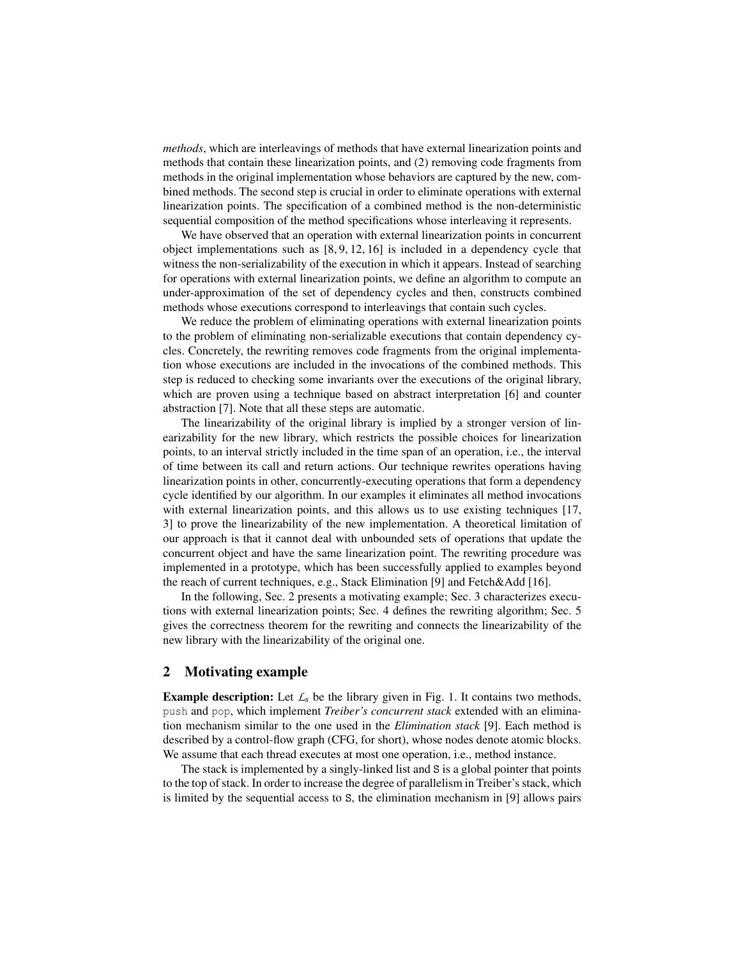*methods*, which are interleavings of methods that have external linearization points and methods that contain these linearization points, and (2) removing code fragments from methods in the original implementation whose behaviors are captured by the new, combined methods. The second step is crucial in order to eliminate operations with external linearization points. The specification of a combined method is the non-deterministic sequential composition of the method specifications whose interleaving it represents.

We have observed that an operation with external linearization points in concurrent object implementations such as  $[8, 9, 12, 16]$  is included in a dependency cycle that witness the non-serializability of the execution in which it appears. Instead of searching for operations with external linearization points, we define an algorithm to compute an under-approximation of the set of dependency cycles and then, constructs combined methods whose executions correspond to interleavings that contain such cycles.

We reduce the problem of eliminating operations with external linearization points to the problem of eliminating non-serializable executions that contain dependency cycles. Concretely, the rewriting removes code fragments from the original implementation whose executions are included in the invocations of the combined methods. This step is reduced to checking some invariants over the executions of the original library, which are proven using a technique based on abstract interpretation [6] and counter abstraction [7]. Note that all these steps are automatic.

The linearizability of the original library is implied by a stronger version of linearizability for the new library, which restricts the possible choices for linearization points, to an interval strictly included in the time span of an operation, i.e., the interval of time between its call and return actions. Our technique rewrites operations having linearization points in other, concurrently-executing operations that form a dependency cycle identified by our algorithm. In our examples it eliminates all method invocations with external linearization points, and this allows us to use existing techniques [17, 3] to prove the linearizability of the new implementation. A theoretical limitation of our approach is that it cannot deal with unbounded sets of operations that update the concurrent object and have the same linearization point. The rewriting procedure was implemented in a prototype, which has been successfully applied to examples beyond the reach of current techniques, e.g., Stack Elimination [9] and Fetch&Add [16].

In the following, Sec. 2 presents a motivating example; Sec. 3 characterizes executions with external linearization points; Sec. 4 defines the rewriting algorithm; Sec. 5 gives the correctness theorem for the rewriting and connects the linearizability of the new library with the linearizability of the original one.

# 2 Motivating example

**Example description:** Let  $\mathcal{L}_s$  be the library given in Fig. 1. It contains two methods, push and pop, which implement *Treiber's concurrent stack* extended with an elimination mechanism similar to the one used in the *Elimination stack* [9]. Each method is described by a control-flow graph (CFG, for short), whose nodes denote atomic blocks. We assume that each thread executes at most one operation, i.e., method instance.

The stack is implemented by a singly-linked list and S is a global pointer that points to the top of stack. In order to increase the degree of parallelism in Treiber's stack, which is limited by the sequential access to S, the elimination mechanism in [9] allows pairs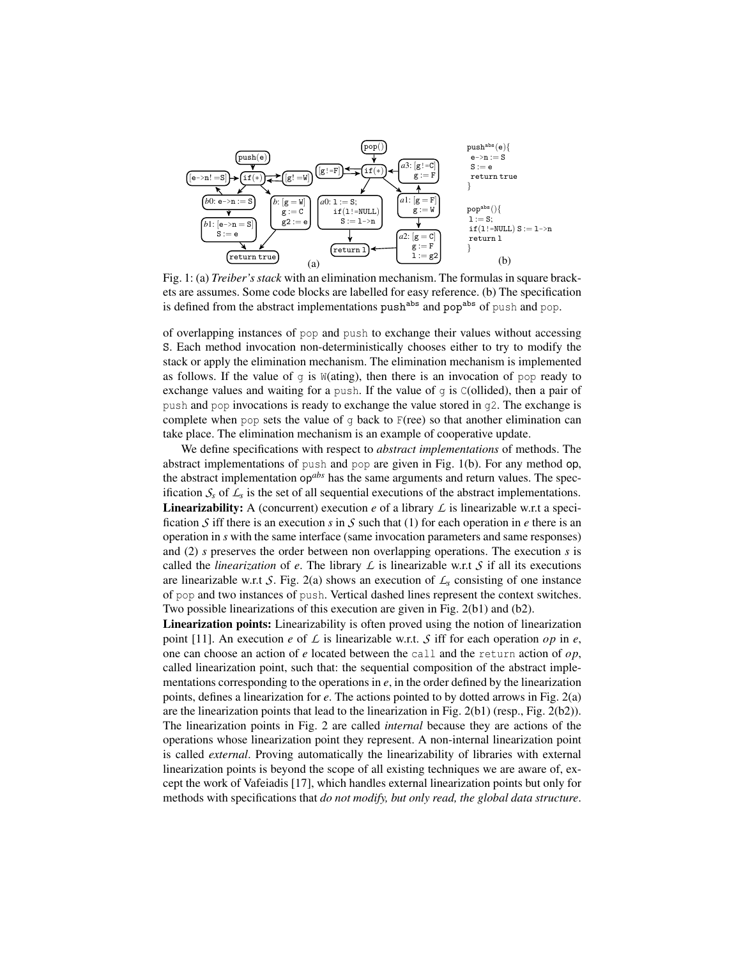

Fig. 1: (a) *Treiber's stack* with an elimination mechanism. The formulas in square brackets are assumes. Some code blocks are labelled for easy reference. (b) The specification is defined from the abstract implementations push<sup>abs</sup> and pop<sup>abs</sup> of push and pop.

of overlapping instances of pop and push to exchange their values without accessing S. Each method invocation non-deterministically chooses either to try to modify the stack or apply the elimination mechanism. The elimination mechanism is implemented as follows. If the value of q is  $W(\text{ating})$ , then there is an invocation of pop ready to exchange values and waiting for a push. If the value of  $\sigma$  is C(ollided), then a pair of push and pop invocations is ready to exchange the value stored in  $q2$ . The exchange is complete when pop sets the value of  $\sigma$  back to  $F(ree)$  so that another elimination can take place. The elimination mechanism is an example of cooperative update.

We define specifications with respect to *abstract implementations* of methods. The abstract implementations of push and pop are given in Fig. 1(b). For any method op, the abstract implementation op*abs* has the same arguments and return values. The specification  $S<sub>s</sub>$  of  $\mathcal{L}<sub>s</sub>$  is the set of all sequential executions of the abstract implementations. **Linearizability:** A (concurrent) execution *e* of a library  $\mathcal L$  is linearizable w.r.t a specification *S* iff there is an execution *s* in *S* such that (1) for each operation in *e* there is an operation in *s* with the same interface (same invocation parameters and same responses) and (2) *s* preserves the order between non overlapping operations. The execution *s* is called the *linearization* of *e*. The library  $\mathcal L$  is linearizable w.r.t  $\mathcal S$  if all its executions are linearizable w.r.t *S*. Fig. 2(a) shows an execution of  $\mathcal{L}_s$  consisting of one instance of pop and two instances of push. Vertical dashed lines represent the context switches. Two possible linearizations of this execution are given in Fig. 2(b1) and (b2).

Linearization points: Linearizability is often proved using the notion of linearization point [11]. An execution *e* of  $\mathcal{L}$  is linearizable w.r.t. *S* iff for each operation *op* in *e*, one can choose an action of *e* located between the call and the return action of *op*, called linearization point, such that: the sequential composition of the abstract implementations corresponding to the operations in *e*, in the order defined by the linearization points, defines a linearization for *e*. The actions pointed to by dotted arrows in Fig. 2(a) are the linearization points that lead to the linearization in Fig. 2(b1) (resp., Fig. 2(b2)). The linearization points in Fig. 2 are called *internal* because they are actions of the operations whose linearization point they represent. A non-internal linearization point is called *external*. Proving automatically the linearizability of libraries with external linearization points is beyond the scope of all existing techniques we are aware of, except the work of Vafeiadis [17], which handles external linearization points but only for methods with specifications that *do not modify, but only read, the global data structure*.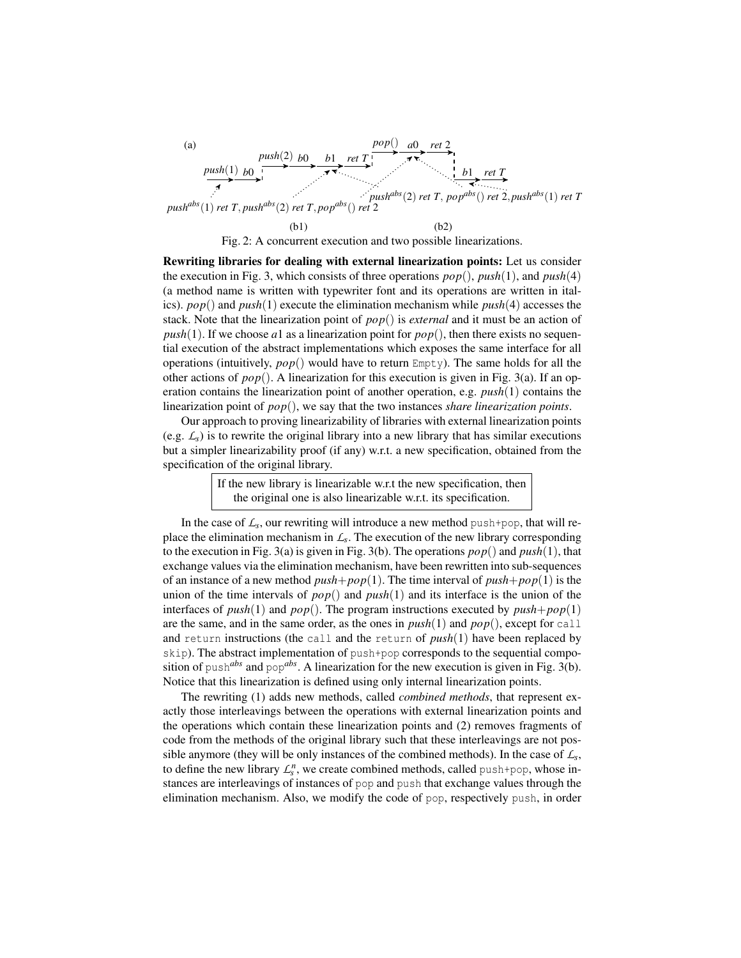

Rewriting libraries for dealing with external linearization points: Let us consider the execution in Fig. 3, which consists of three operations  $pop()$ ,  $push(1)$ , and  $push(4)$ (a method name is written with typewriter font and its operations are written in italics). *pop*() and *push*(1) execute the elimination mechanism while *push*(4) accesses the stack. Note that the linearization point of *pop*() is *external* and it must be an action of  $push(1)$ . If we choose *a*1 as a linearization point for  $pop()$ , then there exists no sequential execution of the abstract implementations which exposes the same interface for all operations (intuitively,  $pop()$  would have to return  $Empty)$ . The same holds for all the other actions of  $pop()$ . A linearization for this execution is given in Fig. 3(a). If an operation contains the linearization point of another operation, e.g. *push*(1) contains the linearization point of *pop*(), we say that the two instances *share linearization points*.

Our approach to proving linearizability of libraries with external linearization points (e.g.  $\mathcal{L}_s$ ) is to rewrite the original library into a new library that has similar executions but a simpler linearizability proof (if any) w.r.t. a new specification, obtained from the specification of the original library.

> If the new library is linearizable w.r.t the new specification, then the original one is also linearizable w.r.t. its specification.

In the case of  $\mathcal{L}_s$ , our rewriting will introduce a new method push+pop, that will replace the elimination mechanism in *L<sup>s</sup>* . The execution of the new library corresponding to the execution in Fig. 3(a) is given in Fig. 3(b). The operations *pop*() and *push*(1), that exchange values via the elimination mechanism, have been rewritten into sub-sequences of an instance of a new method *push*+*pop*(1). The time interval of *push*+*pop*(1) is the union of the time intervals of  $pop()$  and  $push(1)$  and its interface is the union of the interfaces of  $push(1)$  and  $pop()$ . The program instructions executed by  $push+pop(1)$ are the same, and in the same order, as the ones in *push*(1) and *pop*(), except for call and return instructions (the call and the return of *push*(1) have been replaced by skip). The abstract implementation of push+pop corresponds to the sequential composition of push*abs* and pop*abs*. A linearization for the new execution is given in Fig. 3(b). Notice that this linearization is defined using only internal linearization points.

The rewriting (1) adds new methods, called *combined methods*, that represent exactly those interleavings between the operations with external linearization points and the operations which contain these linearization points and (2) removes fragments of code from the methods of the original library such that these interleavings are not possible anymore (they will be only instances of the combined methods). In the case of *L<sup>s</sup>* , to define the new library  $\mathcal{L}_s^n$ , we create combined methods, called push+pop, whose instances are interleavings of instances of pop and push that exchange values through the elimination mechanism. Also, we modify the code of pop, respectively push, in order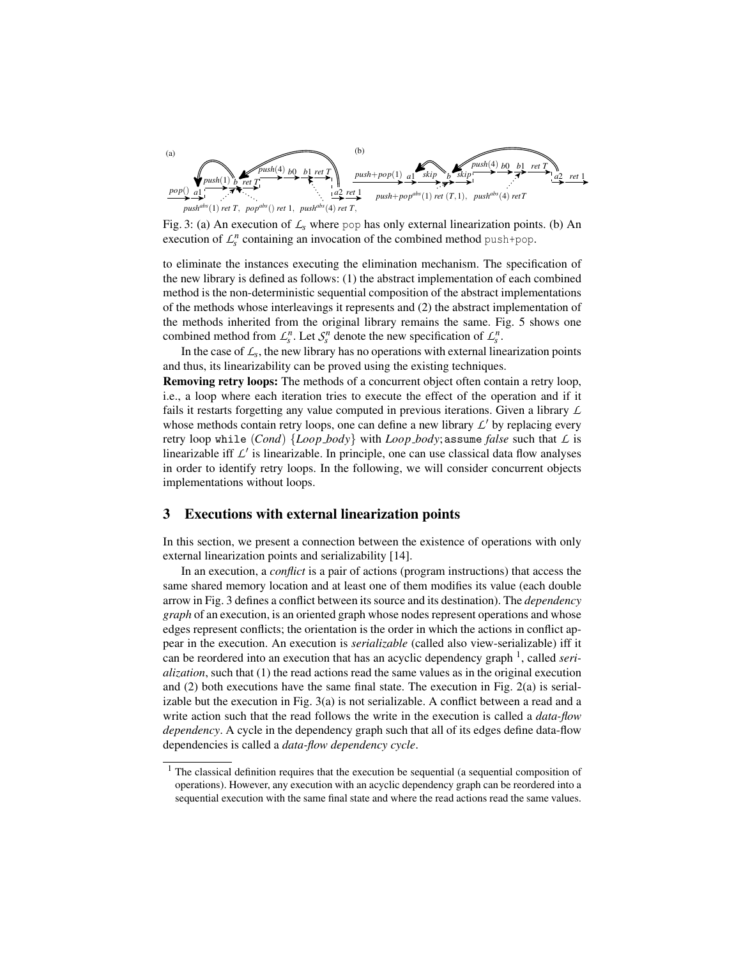

Fig. 3: (a) An execution of  $\mathcal{L}_s$  where pop has only external linearization points. (b) An execution of  $\mathcal{L}_s^n$  containing an invocation of the combined method push+pop.

to eliminate the instances executing the elimination mechanism. The specification of the new library is defined as follows: (1) the abstract implementation of each combined method is the non-deterministic sequential composition of the abstract implementations of the methods whose interleavings it represents and (2) the abstract implementation of the methods inherited from the original library remains the same. Fig. 5 shows one combined method from  $\mathcal{L}_s^n$ . Let  $\mathcal{S}_s^n$  denote the new specification of  $\mathcal{L}_s^n$ .

In the case of  $\mathcal{L}_s$ , the new library has no operations with external linearization points and thus, its linearizability can be proved using the existing techniques.

Removing retry loops: The methods of a concurrent object often contain a retry loop, i.e., a loop where each iteration tries to execute the effect of the operation and if it fails it restarts forgetting any value computed in previous iterations. Given a library *L* whose methods contain retry loops, one can define a new library  $L'$  by replacing every retry loop while  $(Cond)$   $\{Loop_{body}\}$  with  $Loop_{body}$ ; assume *false* such that  $L$  is linearizable iff  $\mathcal{L}'$  is linearizable. In principle, one can use classical data flow analyses in order to identify retry loops. In the following, we will consider concurrent objects implementations without loops.

## 3 Executions with external linearization points

In this section, we present a connection between the existence of operations with only external linearization points and serializability [14].

In an execution, a *conflict* is a pair of actions (program instructions) that access the same shared memory location and at least one of them modifies its value (each double arrow in Fig. 3 defines a conflict between its source and its destination). The *dependency graph* of an execution, is an oriented graph whose nodes represent operations and whose edges represent conflicts; the orientation is the order in which the actions in conflict appear in the execution. An execution is *serializable* (called also view-serializable) iff it can be reordered into an execution that has an acyclic dependency graph <sup>1</sup> , called *serialization*, such that (1) the read actions read the same values as in the original execution and (2) both executions have the same final state. The execution in Fig. 2(a) is serializable but the execution in Fig. 3(a) is not serializable. A conflict between a read and a write action such that the read follows the write in the execution is called a *data-flow dependency*. A cycle in the dependency graph such that all of its edges define data-flow dependencies is called a *data-flow dependency cycle*.

<sup>&</sup>lt;sup>1</sup> The classical definition requires that the execution be sequential (a sequential composition of operations). However, any execution with an acyclic dependency graph can be reordered into a sequential execution with the same final state and where the read actions read the same values.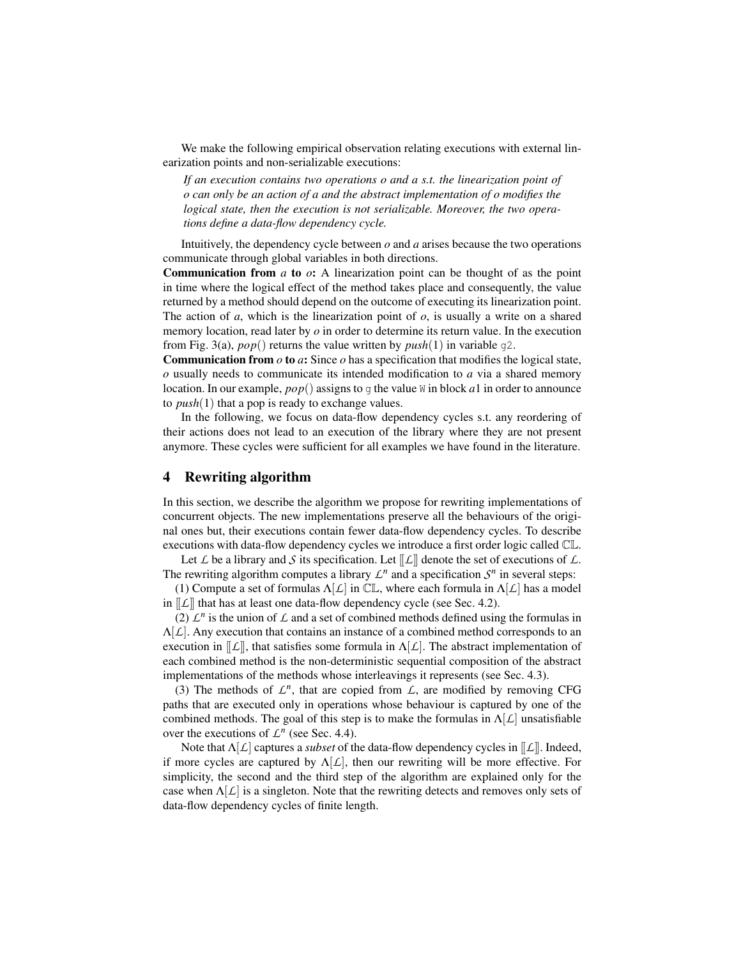We make the following empirical observation relating executions with external linearization points and non-serializable executions:

*If an execution contains two operations o and a s.t. the linearization point of o can only be an action of a and the abstract implementation of o modifies the logical state, then the execution is not serializable. Moreover, the two operations define a data-flow dependency cycle.*

Intuitively, the dependency cycle between *o* and *a* arises because the two operations communicate through global variables in both directions.

Communication from *a* to *o*: A linearization point can be thought of as the point in time where the logical effect of the method takes place and consequently, the value returned by a method should depend on the outcome of executing its linearization point. The action of *a*, which is the linearization point of *o*, is usually a write on a shared memory location, read later by  $\sigma$  in order to determine its return value. In the execution from Fig. 3(a), *pop*() returns the value written by *push*(1) in variable g2.

Communication from *o* to *a*: Since *o* has a specification that modifies the logical state, *o* usually needs to communicate its intended modification to *a* via a shared memory location. In our example,  $pop()$  assigns to q the value W in block *a*1 in order to announce to *push*(1) that a pop is ready to exchange values.

In the following, we focus on data-flow dependency cycles s.t. any reordering of their actions does not lead to an execution of the library where they are not present anymore. These cycles were sufficient for all examples we have found in the literature.

# 4 Rewriting algorithm

In this section, we describe the algorithm we propose for rewriting implementations of concurrent objects. The new implementations preserve all the behaviours of the original ones but, their executions contain fewer data-flow dependency cycles. To describe executions with data-flow dependency cycles we introduce a first order logic called CL.

Let  $\mathcal L$  be a library and  $\mathcal S$  its specification. Let  $\llbracket \mathcal L \rrbracket$  denote the set of executions of  $\mathcal L$ . The rewriting algorithm computes a library  $\mathcal{L}^n$  and a specification  $\mathcal{S}^n$  in several steps:

(1) Compute a set of formulas  $\Lambda[\mathcal{L}]$  in  $\mathbb{CL}$ , where each formula in  $\Lambda[\mathcal{L}]$  has a model in  $\llbracket \mathcal{L} \rrbracket$  that has at least one data-flow dependency cycle (see Sec. 4.2).

(2)  $\mathcal{L}^n$  is the union of  $\mathcal L$  and a set of combined methods defined using the formulas in Λ[*L*]. Any execution that contains an instance of a combined method corresponds to an execution in  $[[L]]$ , that satisfies some formula in  $\Lambda[L]$ . The abstract implementation of each combined method is the non-deterministic sequential composition of the abstract implementations of the methods whose interleavings it represents (see Sec. 4.3).

(3) The methods of  $L^n$ , that are copied from  $L$ , are modified by removing CFG paths that are executed only in operations whose behaviour is captured by one of the combined methods. The goal of this step is to make the formulas in Λ[*L*] unsatisfiable over the executions of  $L^n$  (see Sec. 4.4).

Note that Λ[*L*] captures a *subset* of the data-flow dependency cycles in [[*L*]]. Indeed, if more cycles are captured by  $\Lambda[\mathcal{L}]$ , then our rewriting will be more effective. For simplicity, the second and the third step of the algorithm are explained only for the case when  $\Lambda[\mathcal{L}]$  is a singleton. Note that the rewriting detects and removes only sets of data-flow dependency cycles of finite length.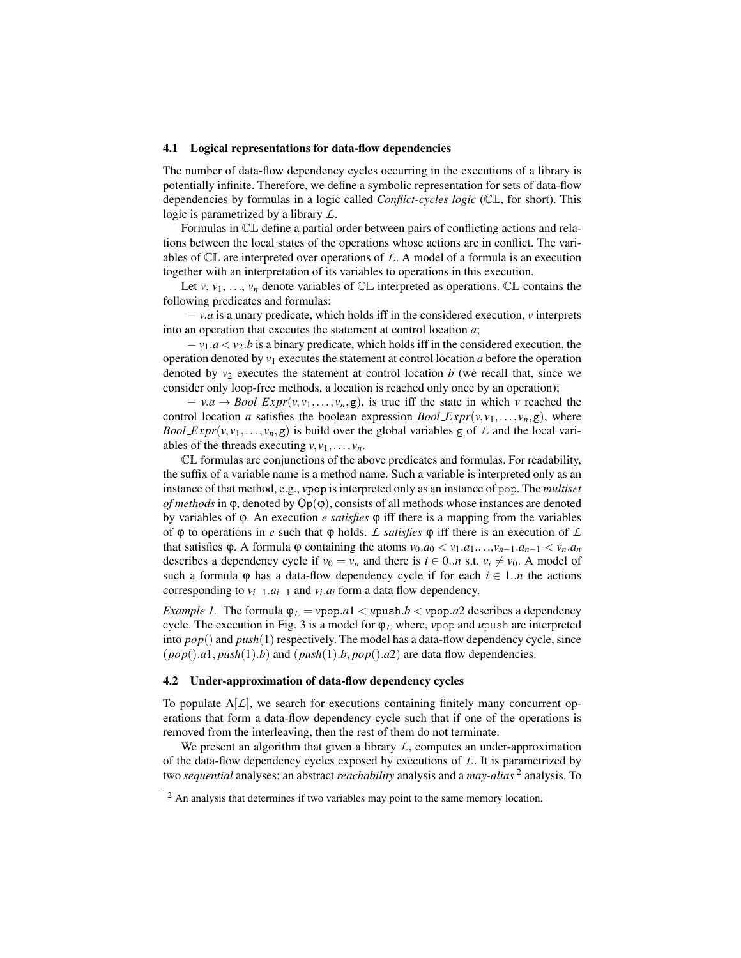#### 4.1 Logical representations for data-flow dependencies

The number of data-flow dependency cycles occurring in the executions of a library is potentially infinite. Therefore, we define a symbolic representation for sets of data-flow dependencies by formulas in a logic called *Conflict-cycles logic* (CL, for short). This logic is parametrized by a library *L*.

Formulas in CL define a partial order between pairs of conflicting actions and relations between the local states of the operations whose actions are in conflict. The variables of  $\mathbb{CL}$  are interpreted over operations of  $\mathcal{L}$ . A model of a formula is an execution together with an interpretation of its variables to operations in this execution.

Let *v*,  $v_1$ , ...,  $v_n$  denote variables of  $CL$  interpreted as operations.  $CL$  contains the following predicates and formulas:

− *v*.*a* is a unary predicate, which holds iff in the considered execution, *v* interprets into an operation that executes the statement at control location *a*;

 $-v_1.a < v_2.b$  is a binary predicate, which holds iff in the considered execution, the operation denoted by  $v_1$  executes the statement at control location  $a$  before the operation denoted by  $v_2$  executes the statement at control location *b* (we recall that, since we consider only loop-free methods, a location is reached only once by an operation);

 $- v.a \rightarrow \text{Bool} \, \text{Exp}(v, v_1, \ldots, v_n, g)$ , is true iff the state in which *v* reached the control location *a* satisfies the boolean expression *Bool*  $Expr(v, v_1, \ldots, v_n, g)$ , where *Bool*  $\text{Exp}(v, v_1, \ldots, v_n, g)$  is build over the global variables g of  $\text{L}$  and the local variables of the threads executing  $v, v_1, \ldots, v_n$ .

CL formulas are conjunctions of the above predicates and formulas. For readability, the suffix of a variable name is a method name. Such a variable is interpreted only as an instance of that method, e.g., *v*pop is interpreted only as an instance of pop. The *multiset of methods* in φ, denoted by  $Op(\phi)$ , consists of all methods whose instances are denoted by variables of ϕ. An execution *e satisfies* ϕ iff there is a mapping from the variables of ϕ to operations in *e* such that ϕ holds. *L satisfies* ϕ iff there is an execution of *L* that satisfies  $\varphi$ . A formula  $\varphi$  containing the atoms  $v_0.a_0 < v_1.a_1,\ldots,v_{n-1}.a_{n-1} < v_n.a_n$ describes a dependency cycle if  $v_0 = v_n$  and there is  $i \in 0..n$  s.t.  $v_i \neq v_0$ . A model of such a formula  $\varphi$  has a data-flow dependency cycle if for each  $i \in 1..n$  the actions corresponding to  $v_{i-1}.a_{i-1}$  and  $v_i.a_i$  form a data flow dependency.

*Example 1.* The formula  $\varphi_L = v \rho \varphi a \cdot a \cdot l$   $\langle v \rho \varphi a \cdot a \rangle a$  describes a dependency cycle. The execution in Fig. 3 is a model for  $\varphi_L$  where, *v*pop and *u*push are interpreted into  $pop()$  and  $push(1)$  respectively. The model has a data-flow dependency cycle, since  $(pop() .a1, push(1).b)$  and  $(push(1).b, pop(),a2)$  are data flow dependencies.

## 4.2 Under-approximation of data-flow dependency cycles

To populate  $\Lambda[\mathcal{L}]$ , we search for executions containing finitely many concurrent operations that form a data-flow dependency cycle such that if one of the operations is removed from the interleaving, then the rest of them do not terminate.

We present an algorithm that given a library  $\mathcal{L}$ , computes an under-approximation of the data-flow dependency cycles exposed by executions of *L*. It is parametrized by two *sequential* analyses: an abstract *reachability* analysis and a *may-alias* <sup>2</sup> analysis. To

<sup>&</sup>lt;sup>2</sup> An analysis that determines if two variables may point to the same memory location.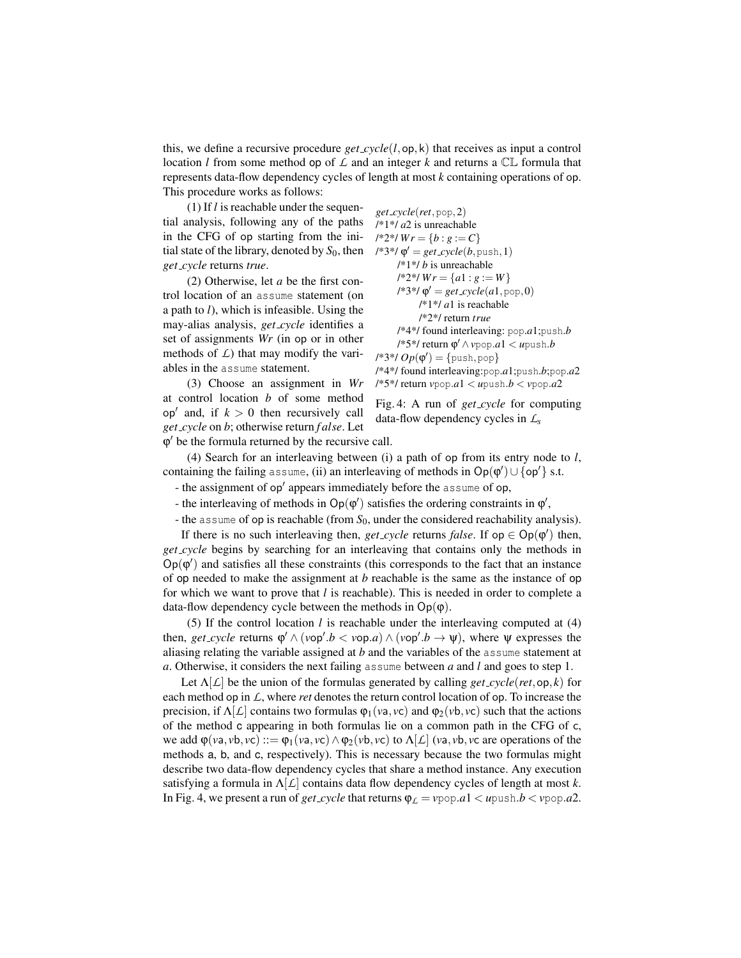this, we define a recursive procedure  $get\_cycle(l, op, k)$  that receives as input a control location *l* from some method op of  $\mathcal L$  and an integer  $k$  and returns a  $\mathbb{CL}$  formula that represents data-flow dependency cycles of length at most *k* containing operations of op. This procedure works as follows:

(1) If *l* is reachable under the sequential analysis, following any of the paths in the CFG of op starting from the initial state of the library, denoted by  $S_0$ , then *get cycle* returns *true*.

(2) Otherwise, let *a* be the first control location of an assume statement (on a path to *l*), which is infeasible. Using the may-alias analysis, *get cycle* identifies a set of assignments *Wr* (in op or in other methods of  $L$ ) that may modify the variables in the assume statement.

(3) Choose an assignment in *Wr* at control location *b* of some method op' and, if  $k > 0$  then recursively call *get cycle* on *b*; otherwise return *f alse*. Let  $\varphi'$  be the formula returned by the recursive call.

*get cycle*(*ret*,pop,2) /\*1\*/ *a*2 is unreachable  $/*2*/Wr = \{b : g := C\}$  $\mathcal{O}^*$ 3\*/ $\varphi' = get\_cycle(b, \text{push}, 1)$ /\*1\*/ *b* is unreachable  $/*2*/Wr = \{a1 : g := W\}$  $4*3*$ / $\varphi' = get\_cycle(a1, pop, 0)$ /\*1\*/ *a*1 is reachable /\*2\*/ return *true* /\*4\*/ found interleaving: pop.*a*1;push.*b* /\*5\*/ return ϕ <sup>0</sup> ∧*v*pop.*a*1 < *u*push.*b*  $\mathcal{O} \mathit{p}(\phi') = \{ \text{push}, \text{pop} \}$ /\*4\*/ found interleaving:pop.*a*1;push.*b*;pop.*a*2 /\*5\*/ return *v*pop.*a*1 < *u*push.*b* < *v*pop.*a*2

Fig. 4: A run of *get cycle* for computing data-flow dependency cycles in *L<sup>s</sup>*

(4) Search for an interleaving between (i) a path of op from its entry node to *l*, containing the failing assume, (ii) an interleaving of methods in  $Op(\phi') \cup \{op'\}$  s.t.

- the assignment of op' appears immediately before the assume of op,

- the interleaving of methods in  $Op(\varphi')$  satisfies the ordering constraints in  $\varphi'$ ,

- the assume of op is reachable (from *S*0, under the considered reachability analysis).

If there is no such interleaving then, *get\_cycle* returns *false*. If  $op \in Op(\varphi')$  then, *get cycle* begins by searching for an interleaving that contains only the methods in  $Op(\phi')$  and satisfies all these constraints (this corresponds to the fact that an instance of op needed to make the assignment at *b* reachable is the same as the instance of op for which we want to prove that *l* is reachable). This is needed in order to complete a data-flow dependency cycle between the methods in  $Op(\varphi)$ .

(5) If the control location *l* is reachable under the interleaving computed at (4) then, *get\_cycle* returns  $\varphi' \wedge (\nu \varphi'.b < \nu \varphi.a) \wedge (\nu \varphi'.b \rightarrow \psi)$ , where  $\psi$  expresses the aliasing relating the variable assigned at *b* and the variables of the assume statement at *a*. Otherwise, it considers the next failing assume between *a* and *l* and goes to step 1.

Let  $\Lambda[\mathcal{L}]$  be the union of the formulas generated by calling *get\_cycle*(*ret*,op, *k*) for each method op in *L*, where *ret* denotes the return control location of op. To increase the precision, if  $Λ[L]$  contains two formulas  $φ_1(va, vc)$  and  $φ_2(vb, vc)$  such that the actions of the method c appearing in both formulas lie on a common path in the CFG of c, we add  $\varphi(\nu a, \nu b, \nu c) ::= \varphi_1(\nu a, \nu c) \wedge \varphi_2(\nu b, \nu c)$  to  $\Lambda[L]$  ( $\nu a, \nu b, \nu c$  are operations of the methods a, b, and c, respectively). This is necessary because the two formulas might describe two data-flow dependency cycles that share a method instance. Any execution satisfying a formula in Λ[*L*] contains data flow dependency cycles of length at most *k*. In Fig. 4, we present a run of *get\_cycle* that returns  $\varphi_L = v \text{pop}.a1 < u \text{push}.b < v \text{pop}.a2$ .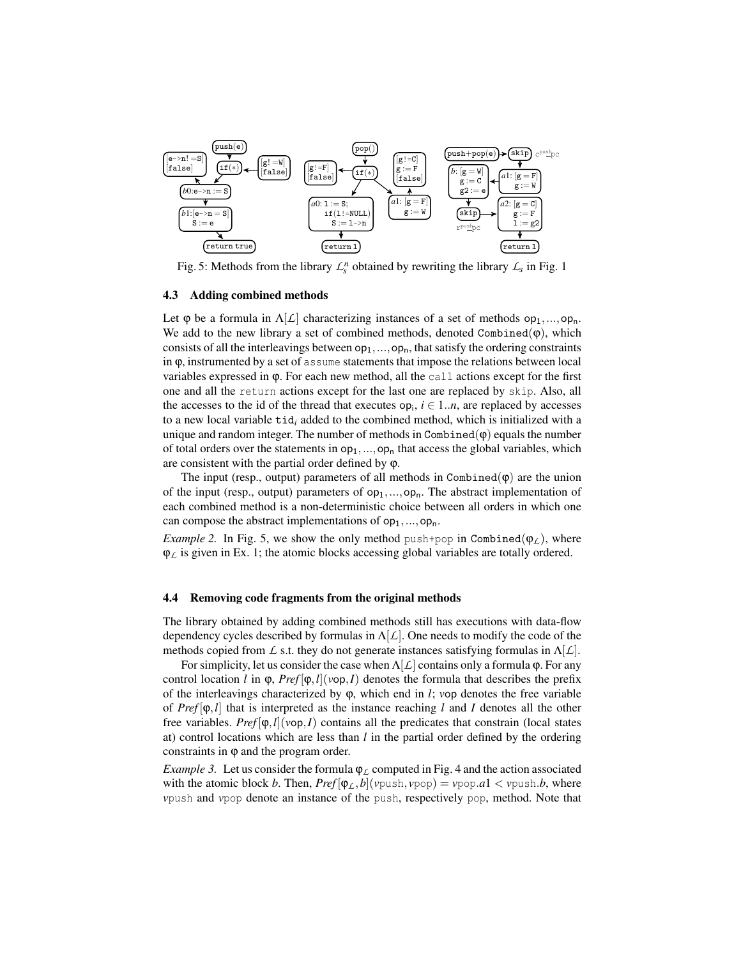

Fig. 5: Methods from the library  $\mathcal{L}_s^n$  obtained by rewriting the library  $\mathcal{L}_s$  in Fig. 1

#### 4.3 Adding combined methods

Let  $\varphi$  be a formula in  $\Lambda[\mathcal{L}]$  characterizing instances of a set of methods  $op_1,...,op_n$ . We add to the new library a set of combined methods, denoted  $Combined(\varphi)$ , which consists of all the interleavings between  $op_1, \ldots, op_n$ , that satisfy the ordering constraints in  $\varphi$ , instrumented by a set of assume statements that impose the relations between local variables expressed in  $\varphi$ . For each new method, all the call actions except for the first one and all the return actions except for the last one are replaced by skip. Also, all the accesses to the id of the thread that executes  $op_i$ ,  $i \in 1..n$ , are replaced by accesses to a new local variable tid*<sup>i</sup>* added to the combined method, which is initialized with a unique and random integer. The number of methods in Combined $(\varphi)$  equals the number of total orders over the statements in  $op_1, ..., op_n$  that access the global variables, which are consistent with the partial order defined by ϕ.

The input (resp., output) parameters of all methods in Combined $(\varphi)$  are the union of the input (resp., output) parameters of  $op_1, ..., op_n$ . The abstract implementation of each combined method is a non-deterministic choice between all orders in which one can compose the abstract implementations of  $op_1, ..., op_n$ .

*Example 2.* In Fig. 5, we show the only method push+pop in Combined( $\varphi_L$ ), where  $\varphi_L$  is given in Ex. 1; the atomic blocks accessing global variables are totally ordered.

### 4.4 Removing code fragments from the original methods

The library obtained by adding combined methods still has executions with data-flow dependency cycles described by formulas in Λ[*L*]. One needs to modify the code of the methods copied from *L* s.t. they do not generate instances satisfying formulas in Λ[*L*].

For simplicity, let us consider the case when  $\Lambda[\mathcal{L}]$  contains only a formula  $\varphi$ . For any control location *l* in  $\varphi$ , *Pref*  $[\varphi, l](\nu \varphi, I)$  denotes the formula that describes the prefix of the interleavings characterized by ϕ, which end in *l*; *v*op denotes the free variable of *Pref* [ϕ,*l*] that is interpreted as the instance reaching *l* and *I* denotes all the other free variables. *Pref* [ $\varphi$ ,*l*]( $\nu$ op,*I*) contains all the predicates that constrain (local states at) control locations which are less than *l* in the partial order defined by the ordering constraints in  $\varphi$  and the program order.

*Example 3.* Let us consider the formula  $\varphi$ <sub>*C*</sub> computed in Fig. 4 and the action associated with the atomic block *b*. Then,  $Pref[\varphi_L, b](v_{\text{push}}, v_{\text{pop}}) = v_{\text{pop}}.a1 < v_{\text{push}}.b$ , where *v*push and *v*pop denote an instance of the push, respectively pop, method. Note that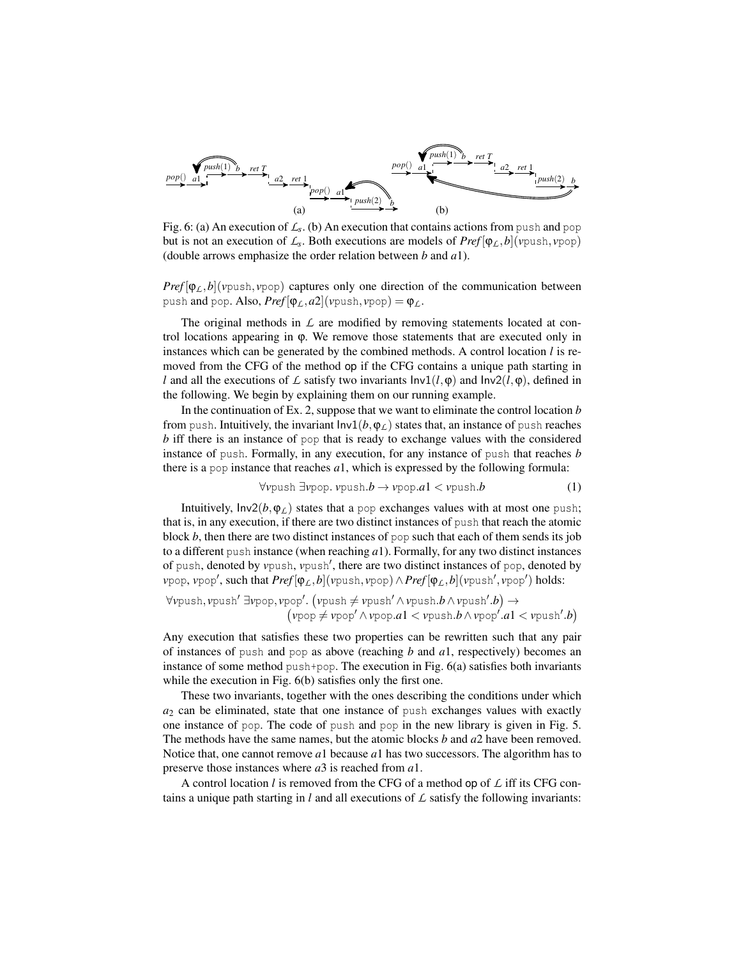

Fig. 6: (a) An execution of  $\mathcal{L}_s$ . (b) An execution that contains actions from push and pop but is not an execution of  $L_s$ . Both executions are models of  $Pref[\phi_L, b](v_{\text{push}}, v_{\text{pop}})$ (double arrows emphasize the order relation between *b* and *a*1).

*Pref*  $[\varphi_L, b](v_{\text{push}}, v_{\text{pop}})$  captures only one direction of the communication between push and pop. Also,  $Pref[\varphi_L, a2](v_{\text{push}}, v_{\text{pop}}) = \varphi_L$ .

The original methods in  $\mathcal L$  are modified by removing statements located at control locations appearing in ϕ. We remove those statements that are executed only in instances which can be generated by the combined methods. A control location *l* is removed from the CFG of the method op if the CFG contains a unique path starting in *l* and all the executions of L satisfy two invariants  $\text{Inv1}(l, \varphi)$  and  $\text{Inv2}(l, \varphi)$ , defined in the following. We begin by explaining them on our running example.

In the continuation of Ex. 2, suppose that we want to eliminate the control location *b* from push. Intuitively, the invariant  $\text{Inv1}(b, \varphi_L)$  states that, an instance of push reaches *b* iff there is an instance of pop that is ready to exchange values with the considered instance of push. Formally, in any execution, for any instance of push that reaches *b* there is a pop instance that reaches *a*1, which is expressed by the following formula:

$$
\forall v \text{push } \exists v \text{pop. v} \text{push.} b \rightarrow v \text{pop.} a1 < v \text{push.} b \tag{1}
$$

Intuitively,  $\ln 2(b, \phi_\ell)$  states that a pop exchanges values with at most one push; that is, in any execution, if there are two distinct instances of push that reach the atomic block *b*, then there are two distinct instances of pop such that each of them sends its job to a different push instance (when reaching *a*1). Formally, for any two distinct instances of push, denoted by *v*push, *vpush'*, there are two distinct instances of pop, denoted by *v*pop, *v*pop', such that *Pref* [ $φ$ *L*,*b*](*v*push, *vpop*)∧*Pref* [ $φ$ *L*,*b*](*vpush'*, *vpop'*) holds:

∀*v*push, *v*push<sup>0</sup> ∃*v*pop, *v*pop<sup>0</sup> . *v*push 6= *v*push<sup>0</sup> ∧*v*push.*b*∧*v*push<sup>0</sup> .*b*  $\left($  $\rightarrow$  $v$ pop  $\neq v$ pop $'$   $\land$   $v$ pop. $a1 < v$ push. $b$   $\land$   $v$ pop $\vec{(a1} < v$ push $'.b)$ 

Any execution that satisfies these two properties can be rewritten such that any pair of instances of push and pop as above (reaching *b* and *a*1, respectively) becomes an instance of some method push+pop. The execution in Fig.  $6(a)$  satisfies both invariants while the execution in Fig. 6(b) satisfies only the first one.

These two invariants, together with the ones describing the conditions under which  $a_2$  can be eliminated, state that one instance of push exchanges values with exactly one instance of pop. The code of push and pop in the new library is given in Fig. 5. The methods have the same names, but the atomic blocks *b* and *a*2 have been removed. Notice that, one cannot remove *a*1 because *a*1 has two successors. The algorithm has to preserve those instances where *a*3 is reached from *a*1.

A control location *l* is removed from the CFG of a method op of *L* iff its CFG contains a unique path starting in *l* and all executions of *L* satisfy the following invariants: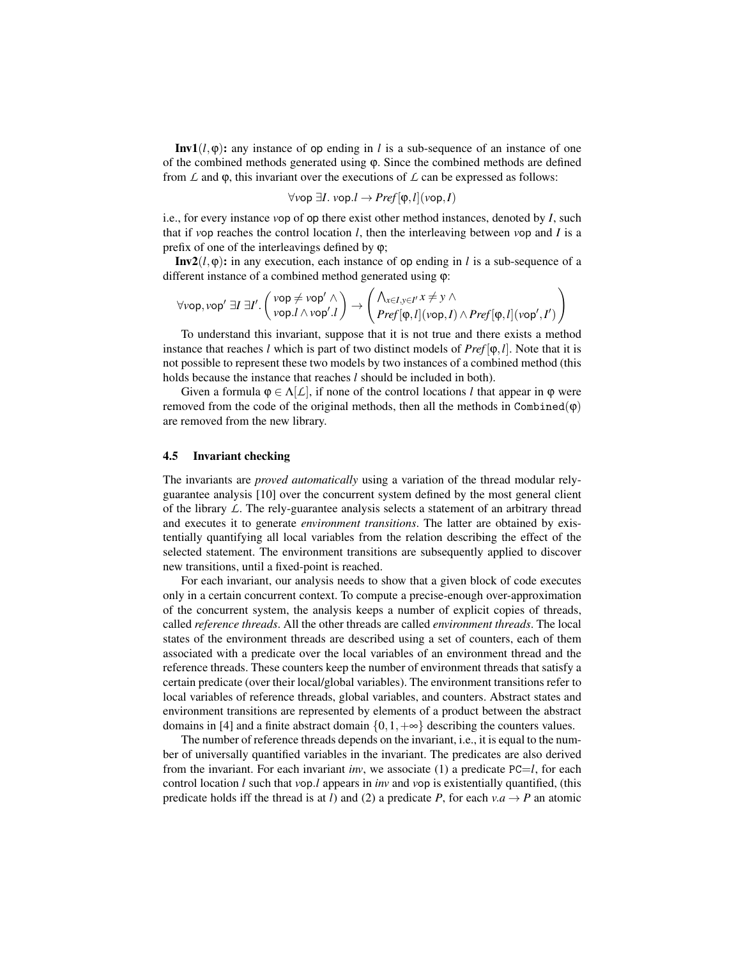**Inv1**( $l, \phi$ ): any instance of op ending in *l* is a sub-sequence of an instance of one of the combined methods generated using ϕ. Since the combined methods are defined from  $\mathcal L$  and  $\varphi$ , this invariant over the executions of  $\mathcal L$  can be expressed as follows:

$$
\forall v \in \exists I. \; v \in D. \; l \to \mathit{Pref}[\varphi, l](v \in D, I)
$$

i.e., for every instance *v*op of op there exist other method instances, denoted by *I*, such that if *v*op reaches the control location *l*, then the interleaving between *v*op and *I* is a prefix of one of the interleavings defined by  $\varphi$ ;

**Inv2**( $l$ , $\varphi$ ): in any execution, each instance of op ending in *l* is a sub-sequence of a different instance of a combined method generated using ϕ:

$$
\forall v \text{op}, v \text{op}' \ \exists I \ \exists I'. \left( \begin{smallmatrix} v \text{op} \neq v \text{op}' \ \wedge \\ v \text{op}. I \wedge v \text{op}'.I \end{smallmatrix} \right) \rightarrow \left( \begin{smallmatrix} \bigwedge_{x \in I, y \in I'} x \neq y \ \wedge \\ \text{Pref}[\varphi, I](v \text{op}, I) \wedge \text{Pref}[\varphi, I](v \text{op}', I') \end{smallmatrix} \right)
$$

To understand this invariant, suppose that it is not true and there exists a method instance that reaches *l* which is part of two distinct models of  $Pref[\varphi, l]$ . Note that it is not possible to represent these two models by two instances of a combined method (this holds because the instance that reaches *l* should be included in both).

Given a formula  $\varphi \in \Lambda[\mathcal{L}]$ , if none of the control locations *l* that appear in  $\varphi$  were removed from the code of the original methods, then all the methods in Combined $(\varphi)$ are removed from the new library.

#### 4.5 Invariant checking

The invariants are *proved automatically* using a variation of the thread modular relyguarantee analysis [10] over the concurrent system defined by the most general client of the library *L*. The rely-guarantee analysis selects a statement of an arbitrary thread and executes it to generate *environment transitions*. The latter are obtained by existentially quantifying all local variables from the relation describing the effect of the selected statement. The environment transitions are subsequently applied to discover new transitions, until a fixed-point is reached.

For each invariant, our analysis needs to show that a given block of code executes only in a certain concurrent context. To compute a precise-enough over-approximation of the concurrent system, the analysis keeps a number of explicit copies of threads, called *reference threads*. All the other threads are called *environment threads*. The local states of the environment threads are described using a set of counters, each of them associated with a predicate over the local variables of an environment thread and the reference threads. These counters keep the number of environment threads that satisfy a certain predicate (over their local/global variables). The environment transitions refer to local variables of reference threads, global variables, and counters. Abstract states and environment transitions are represented by elements of a product between the abstract domains in [4] and a finite abstract domain  $\{0, 1, +\infty\}$  describing the counters values.

The number of reference threads depends on the invariant, i.e., it is equal to the number of universally quantified variables in the invariant. The predicates are also derived from the invariant. For each invariant *inv*, we associate (1) a predicate PC=*l*, for each control location *l* such that *v*op.*l* appears in *inv* and *v*op is existentially quantified, (this predicate holds iff the thread is at *l*) and (2) a predicate *P*, for each  $v.a \rightarrow P$  an atomic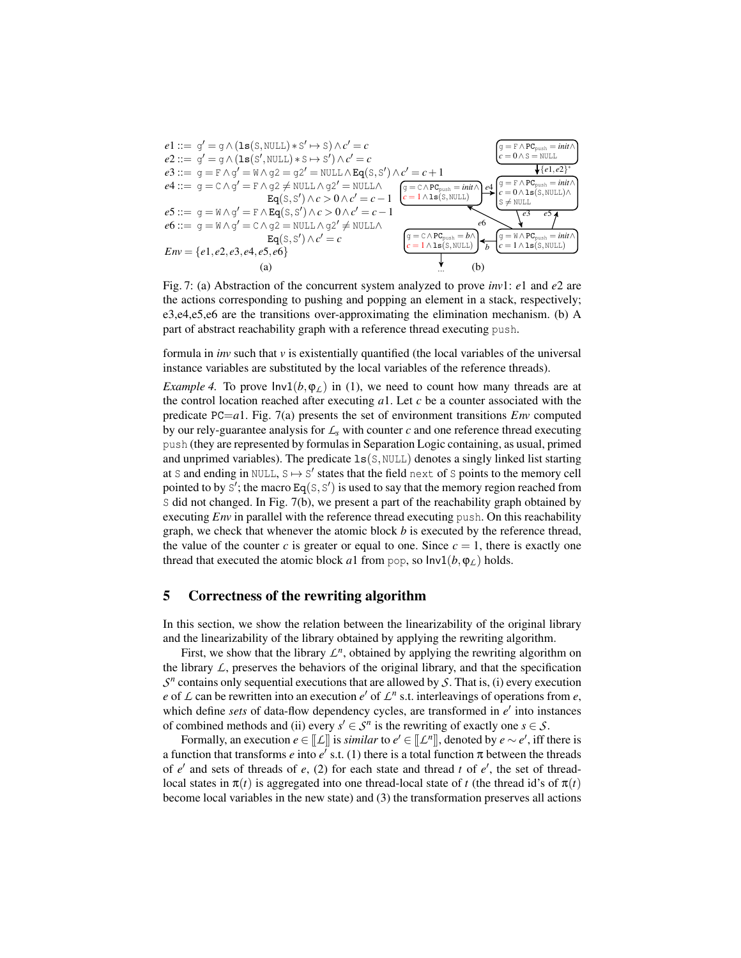

Fig. 7: (a) Abstraction of the concurrent system analyzed to prove *inv*1: *e*1 and *e*2 are the actions corresponding to pushing and popping an element in a stack, respectively; e3,e4,e5,e6 are the transitions over-approximating the elimination mechanism. (b) A part of abstract reachability graph with a reference thread executing push.

formula in *inv* such that *v* is existentially quantified (the local variables of the universal instance variables are substituted by the local variables of the reference threads).

*Example 4.* To prove  $Inv1(b, \varphi_L)$  in (1), we need to count how many threads are at the control location reached after executing *a*1. Let *c* be a counter associated with the predicate  $PC=a1$ . Fig. 7(a) presents the set of environment transitions  $Env$  computed by our rely-guarantee analysis for  $\mathcal{L}_s$  with counter *c* and one reference thread executing push (they are represented by formulas in Separation Logic containing, as usual, primed and unprimed variables). The predicate  $ls(S, NULL)$  denotes a singly linked list starting at S and ending in NULL,  $S \mapsto S'$  states that the field next of S points to the memory cell pointed to by S'; the macro  $Eq(S, S')$  is used to say that the memory region reached from S did not changed. In Fig. 7(b), we present a part of the reachability graph obtained by executing *Env* in parallel with the reference thread executing push. On this reachability graph, we check that whenever the atomic block *b* is executed by the reference thread, the value of the counter c is greater or equal to one. Since  $c = 1$ , there is exactly one thread that executed the atomic block *a*1 from pop, so  $Inv1(b, \varphi_L)$  holds.

# 5 Correctness of the rewriting algorithm

In this section, we show the relation between the linearizability of the original library and the linearizability of the library obtained by applying the rewriting algorithm.

First, we show that the library  $\mathcal{L}^n$ , obtained by applying the rewriting algorithm on the library  $\mathcal L$ , preserves the behaviors of the original library, and that the specification  $S<sup>n</sup>$  contains only sequential executions that are allowed by *S*. That is, (i) every execution *e* of *L* can be rewritten into an execution *e*<sup> $\prime$ </sup> of  $\mathcal{L}^n$  s.t. interleavings of operations from *e*, which define *sets* of data-flow dependency cycles, are transformed in  $e'$  into instances of combined methods and (ii) every  $s' \in S^n$  is the rewriting of exactly one  $s \in S$ .

Formally, an execution  $e \in [\![\mathcal{L}]\!]$  is *similar* to  $e' \in [\![\mathcal{L}^n]\!]$ , denoted by  $e \sim e'$ , iff there is a function that transforms *e* into  $e^t$  s.t. (1) there is a total function  $\pi$  between the threads of  $e'$  and sets of threads of  $e$ , (2) for each state and thread  $t$  of  $e'$ , the set of threadlocal states in  $\pi(t)$  is aggregated into one thread-local state of *t* (the thread id's of  $\pi(t)$ ) become local variables in the new state) and (3) the transformation preserves all actions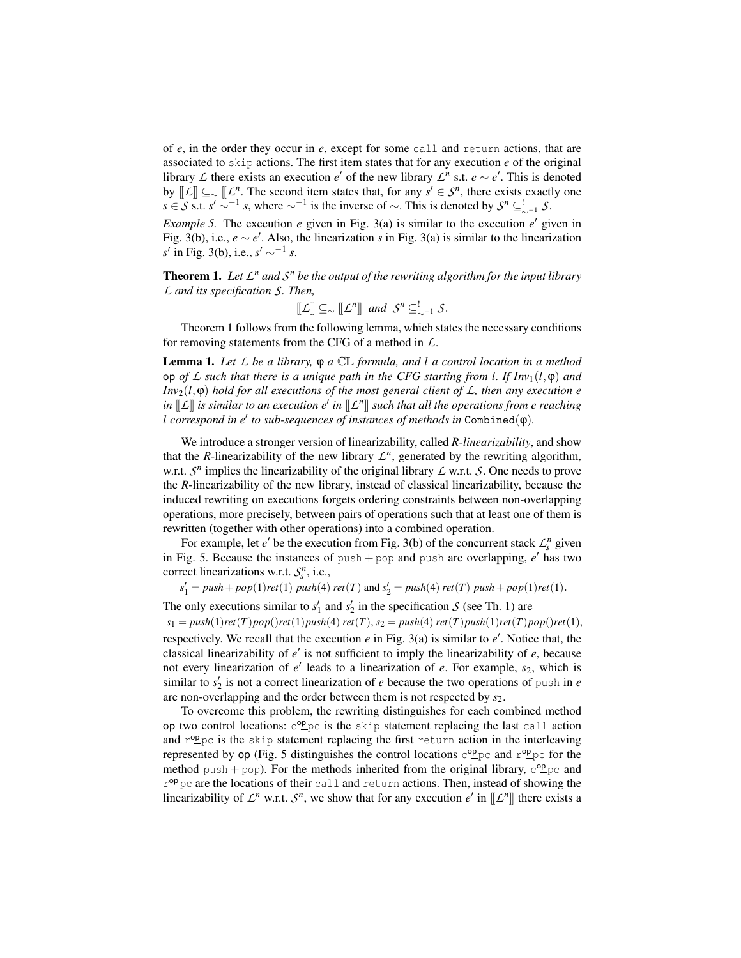of *e*, in the order they occur in *e*, except for some call and return actions, that are associated to skip actions. The first item states that for any execution *e* of the original library *L* there exists an execution *e'* of the new library  $L^n$  s.t.  $e \sim e'$ . This is denoted by  $[[\mathcal{L}]] \subseteq \_\sim [[\mathcal{L}^n$ . The second item states that, for any  $s' \in \mathcal{S}^n$ , there exists exactly one *s* ∈ *S* s.t. *s*<sup> $\sim$ </sup>  $\sim$ <sup>-1</sup> *s*, where ∼<sup>−1</sup> is the inverse of ∼. This is denoted by  $S^n \subseteq_{\sim^{-1}}^1 S$ .

*Example 5.* The execution  $e$  given in Fig. 3(a) is similar to the execution  $e'$  given in Fig. 3(b), i.e.,  $e \sim e'$ . Also, the linearization *s* in Fig. 3(a) is similar to the linearization *s*<sup>*'*</sup> in Fig. 3(b), i.e., *s'* ∼<sup>−1</sup> *s*.

**Theorem 1.** Let  $\mathcal{L}^n$  and  $\mathcal{S}^n$  be the output of the rewriting algorithm for the input library *L and its specification S. Then,*

$$
[\![\mathcal{L}]\!] \subseteq \subset \lbrack\!\lbrack \mathcal{L}^n \rbrack\!\rbrack \quad and \quad \mathcal{S}^n \subseteq \,_{\sim^{-1}}^! \mathcal{S}.
$$

Theorem 1 follows from the following lemma, which states the necessary conditions for removing statements from the CFG of a method in *L*.

Lemma 1. *Let L be a library,* ϕ *a* CL *formula, and l a control location in a method* op *of*  $\mathcal L$  *such that there is a unique path in the CFG starting from l. If Inv*<sub>1</sub> $(l, \varphi)$  *and Inv*<sub>2</sub>( $l$ , $\varphi$ ) *hold for all executions of the most general client of*  $L$ *, then any execution e*  $in$   $\llbracket L \rrbracket$  *is similar to an execution*  $e'$  *in*  $\llbracket L^n \rrbracket$  *such that all the operations from e reaching l* correspond in e' to sub-sequences of instances of methods in Combined(φ).

We introduce a stronger version of linearizability, called *R-linearizability*, and show that the *R*-linearizability of the new library  $\mathcal{L}^n$ , generated by the rewriting algorithm, w.r.t.  $S<sup>n</sup>$  implies the linearizability of the original library  $\mathcal L$  w.r.t.  $\mathcal S$ . One needs to prove the *R*-linearizability of the new library, instead of classical linearizability, because the induced rewriting on executions forgets ordering constraints between non-overlapping operations, more precisely, between pairs of operations such that at least one of them is rewritten (together with other operations) into a combined operation.

For example, let  $e'$  be the execution from Fig. 3(b) of the concurrent stack  $\mathcal{L}_s^n$  given in Fig. 5. Because the instances of  $push + pop$  and  $push$  are overlapping,  $e'$  has two correct linearizations w.r.t.  $S_s^n$ , i.e.,

 $s'_1 = push + pop(1)ret(1) push(4) ret(T)$  and  $s'_2 = push(4) ret(T) push + pop(1) ret(1)$ .

The only executions similar to  $s'_1$  and  $s'_2$  in the specification *S* (see Th. 1) are  $s_1 = push(1)ret(T)pop(\text{)}ret(1)push(4) ret(T),$   $s_2 = push(4) ret(T)push(1)ret(T)pop(\text{)}ret(1),$ respectively. We recall that the execution  $e$  in Fig. 3(a) is similar to  $e'$ . Notice that, the classical linearizability of  $e'$  is not sufficient to imply the linearizability of  $e$ , because not every linearization of  $e'$  leads to a linearization of  $e$ . For example,  $s_2$ , which is similar to  $s_2$  is not a correct linearization of *e* because the two operations of push in *e* are non-overlapping and the order between them is not respected by *s*2.

To overcome this problem, the rewriting distinguishes for each combined method op two control locations:  $c^{\circ p}$  pc is the skip statement replacing the last call action and r<sup>op</sup>pc is the skip statement replacing the first return action in the interleaving represented by op (Fig. 5 distinguishes the control locations  $c^{\circ p}$  pc and  $r^{\circ p}$  pc for the method push + pop). For the methods inherited from the original library,  $c^{\circ p}$  pc and r<sup>op</sup> pc are the locations of their call and return actions. Then, instead of showing the linearizability of  $L^n$  w.r.t.  $S^n$ , we show that for any execution  $e'$  in  $[[L^n]]$  there exists a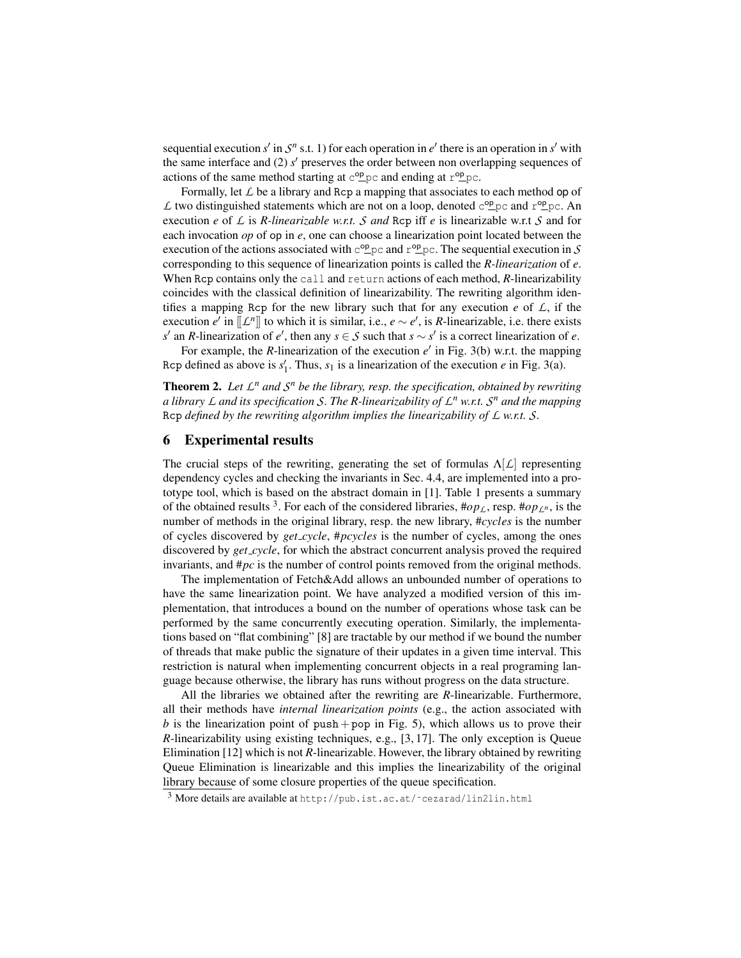sequential execution  $s'$  in  $S<sup>n</sup>$  s.t. 1) for each operation in  $e'$  there is an operation in  $s'$  with the same interface and  $(2)$  s' preserves the order between non overlapping sequences of actions of the same method starting at  $c^{\circ p}$  pc and ending at  $r^{\circ p}$  pc.

Formally, let  $\mathcal L$  be a library and Rcp a mapping that associates to each method op of L two distinguished statements which are not on a loop, denoted  $c^{\rm op}$  pc and  $r^{\rm op}$  pc. An execution *e* of *L* is *R-linearizable w.r.t. S and* Rcp iff *e* is linearizable w.r.t *S* and for each invocation *op* of op in *e*, one can choose a linearization point located between the execution of the actions associated with  $c^{op}$  pc and  $r^{op}$  pc. The sequential execution in *S* corresponding to this sequence of linearization points is called the *R-linearization* of *e*. When Rcp contains only the call and return actions of each method, *R*-linearizability coincides with the classical definition of linearizability. The rewriting algorithm identifies a mapping Rcp for the new library such that for any execution *e* of  $\mathcal{L}$ , if the execution *e'* in  $[[L^n]]$  to which it is similar, i.e.,  $e \sim e'$ , is *R*-linearizable, i.e. there exists  $s'$  an *R*-linearization of *e*<sup>'</sup>, then any  $s \in S$  such that  $s \sim s'$  is a correct linearization of *e*.

For example, the *R*-linearization of the execution  $e'$  in Fig. 3(b) w.r.t. the mapping Rcp defined as above is  $s'_1$ . Thus,  $s_1$  is a linearization of the execution *e* in Fig. 3(a).

**Theorem 2.** Let  $\mathcal{L}^n$  and  $\mathcal{S}^n$  be the library, resp. the specification, obtained by rewriting *a library L and its specification S. The R-linearizability of L <sup>n</sup> w.r.t. S <sup>n</sup> and the mapping* Rcp *defined by the rewriting algorithm implies the linearizability of*  $\mathcal{L}$  *w.r.t.*  $\mathcal{S}$ *.* 

## 6 Experimental results

The crucial steps of the rewriting, generating the set of formulas  $\Lambda[\mathcal{L}]$  representing dependency cycles and checking the invariants in Sec. 4.4, are implemented into a prototype tool, which is based on the abstract domain in [1]. Table 1 presents a summary of the obtained results <sup>3</sup>. For each of the considered libraries,  $\#op_L$ , resp.  $\#op_{L^n}$ , is the number of methods in the original library, resp. the new library, #*cycles* is the number of cycles discovered by *get cycle*, #*pcycles* is the number of cycles, among the ones discovered by *get cycle*, for which the abstract concurrent analysis proved the required invariants, and #*pc* is the number of control points removed from the original methods.

The implementation of Fetch&Add allows an unbounded number of operations to have the same linearization point. We have analyzed a modified version of this implementation, that introduces a bound on the number of operations whose task can be performed by the same concurrently executing operation. Similarly, the implementations based on "flat combining" [8] are tractable by our method if we bound the number of threads that make public the signature of their updates in a given time interval. This restriction is natural when implementing concurrent objects in a real programing language because otherwise, the library has runs without progress on the data structure.

All the libraries we obtained after the rewriting are *R*-linearizable. Furthermore, all their methods have *internal linearization points* (e.g., the action associated with *b* is the linearization point of push + pop in Fig. 5), which allows us to prove their *R*-linearizability using existing techniques, e.g., [3, 17]. The only exception is Queue Elimination [12] which is not *R*-linearizable. However, the library obtained by rewriting Queue Elimination is linearizable and this implies the linearizability of the original library because of some closure properties of the queue specification.

<sup>3</sup> More details are available at http://pub.ist.ac.at/˜cezarad/lin2lin.html